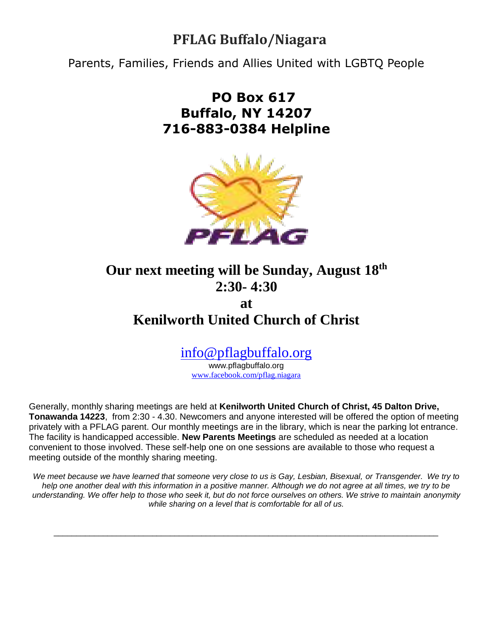# **PFLAG Buffalo/Niagara**

Parents, Families, Friends and Allies United with LGBTQ People

# **PO Box 617 Buffalo, NY 14207 716-883-0384 Helpline**



## **Our next meeting will be Sunday, August 18th 2:30- 4:30**

# **at Kenilworth United Church of Christ**

## [info@pflagbuffalo.org](mailto:info@pflagbuffalo.org)

www.pflagbuffalo.org [www.facebook.com/pflag.niagara](http://www.facebook.com/pflag.niagara)

Generally, monthly sharing meetings are held at **Kenilworth United Church of Christ, 45 Dalton Drive, Tonawanda 14223**, from 2:30 - 4.30. Newcomers and anyone interested will be offered the option of meeting privately with a PFLAG parent. Our monthly meetings are in the library, which is near the parking lot entrance. The facility is handicapped accessible. **New Parents Meetings** are scheduled as needed at a location convenient to those involved. These self-help one on one sessions are available to those who request a meeting outside of the monthly sharing meeting.

*We meet because we have learned that someone very close to us is Gay, Lesbian, Bisexual, or Transgender. We try to help one another deal with this information in a positive manner. Although we do not agree at all times, we try to be understanding. We offer help to those who seek it, but do not force ourselves on others. We strive to maintain anonymity while sharing on a level that is comfortable for all of us.*

 $\Box$